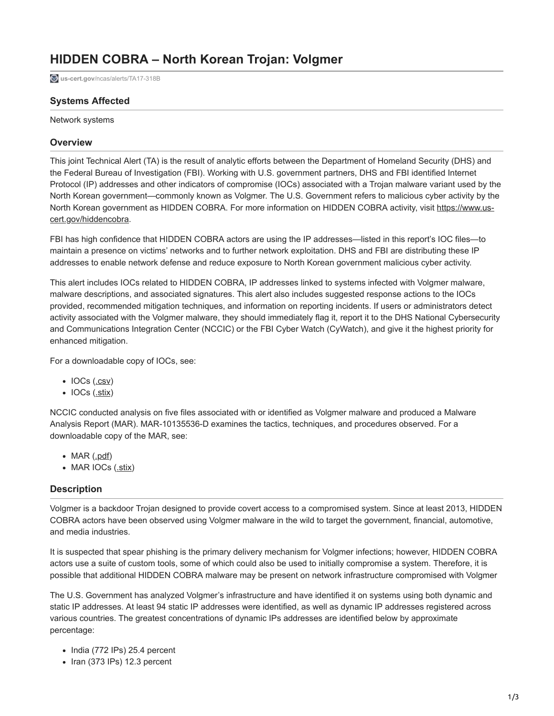# **HIDDEN COBRA – North Korean Trojan: Volgmer**

**us-cert.gov[/ncas/alerts/TA17-318B](https://www.us-cert.gov/ncas/alerts/TA17-318B)** 

## **Systems Affected**

Network systems

## **Overview**

This joint Technical Alert (TA) is the result of analytic efforts between the Department of Homeland Security (DHS) and the Federal Bureau of Investigation (FBI). Working with U.S. government partners, DHS and FBI identified Internet Protocol (IP) addresses and other indicators of compromise (IOCs) associated with a Trojan malware variant used by the North Korean government—commonly known as Volgmer. The U.S. Government refers to malicious cyber activity by the [North Korean government as HIDDEN COBRA. For more information on HIDDEN COBRA activity, visit https://www.us](https://www.us-cert.gov/hiddencobra)cert.gov/hiddencobra.

FBI has high confidence that HIDDEN COBRA actors are using the IP addresses—listed in this report's IOC files—to maintain a presence on victims' networks and to further network exploitation. DHS and FBI are distributing these IP addresses to enable network defense and reduce exposure to North Korean government malicious cyber activity.

This alert includes IOCs related to HIDDEN COBRA, IP addresses linked to systems infected with Volgmer malware, malware descriptions, and associated signatures. This alert also includes suggested response actions to the IOCs provided, recommended mitigation techniques, and information on reporting incidents. If users or administrators detect activity associated with the Volgmer malware, they should immediately flag it, report it to the DHS National Cybersecurity and Communications Integration Center (NCCIC) or the FBI Cyber Watch (CyWatch), and give it the highest priority for enhanced mitigation.

For a downloadable copy of IOCs, see:

- $\bullet$  IOCs ( $.csv$ )
- $\bullet$  IOCs  $(\underline{.stix})$  $(\underline{.stix})$  $(\underline{.stix})$

NCCIC conducted analysis on five files associated with or identified as Volgmer malware and produced a Malware Analysis Report (MAR). MAR-10135536-D examines the tactics, techniques, and procedures observed. For a downloadable copy of the MAR, see:

- $\bullet$  MAR [\(.pdf\)](https://www.us-cert.gov/sites/default/files/publications/MAR-10135536-D_WHITE_S508C.PDF)
- MAR IOCs ([.stix](https://www.us-cert.gov/sites/default/files/publications/MAR-10135536-D_WHITE_stix.xml))

## **Description**

Volgmer is a backdoor Trojan designed to provide covert access to a compromised system. Since at least 2013, HIDDEN COBRA actors have been observed using Volgmer malware in the wild to target the government, financial, automotive, and media industries.

It is suspected that spear phishing is the primary delivery mechanism for Volgmer infections; however, HIDDEN COBRA actors use a suite of custom tools, some of which could also be used to initially compromise a system. Therefore, it is possible that additional HIDDEN COBRA malware may be present on network infrastructure compromised with Volgmer

The U.S. Government has analyzed Volgmer's infrastructure and have identified it on systems using both dynamic and static IP addresses. At least 94 static IP addresses were identified, as well as dynamic IP addresses registered across various countries. The greatest concentrations of dynamic IPs addresses are identified below by approximate percentage:

- $\bullet$  India (772 IPs) 25.4 percent
- $\bullet$  Iran (373 IPs) 12.3 percent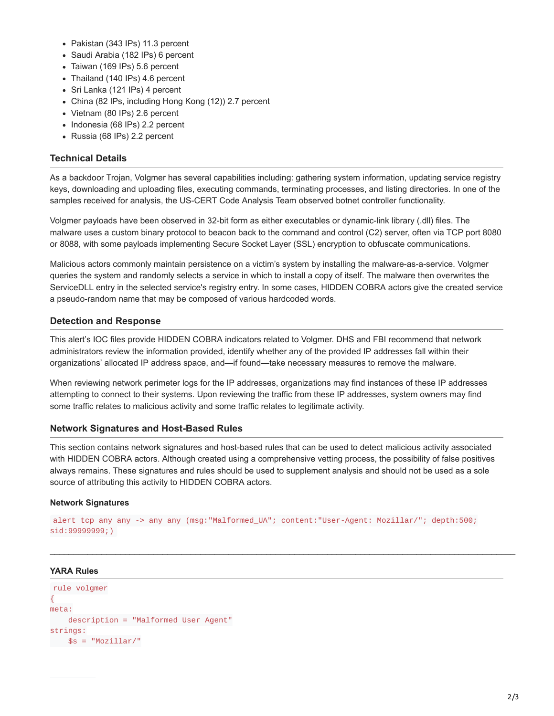- Pakistan (343 IPs) 11.3 percent
- Saudi Arabia (182 IPs) 6 percent
- Taiwan (169 IPs) 5.6 percent
- Thailand (140 IPs) 4.6 percent
- Sri Lanka (121 IPs) 4 percent
- China (82 IPs, including Hong Kong (12)) 2.7 percent
- Vietnam (80 IPs) 2.6 percent
- Indonesia (68 IPs) 2.2 percent
- Russia (68 IPs) 2.2 percent

## **Technical Details**

As a backdoor Trojan, Volgmer has several capabilities including: gathering system information, updating service registry keys, downloading and uploading files, executing commands, terminating processes, and listing directories. In one of the samples received for analysis, the US-CERT Code Analysis Team observed botnet controller functionality.

Volgmer payloads have been observed in 32-bit form as either executables or dynamic-link library (.dll) files. The malware uses a custom binary protocol to beacon back to the command and control (C2) server, often via TCP port 8080 or 8088, with some payloads implementing Secure Socket Layer (SSL) encryption to obfuscate communications.

Malicious actors commonly maintain persistence on a victim's system by installing the malware-as-a-service. Volgmer queries the system and randomly selects a service in which to install a copy of itself. The malware then overwrites the ServiceDLL entry in the selected service's registry entry. In some cases, HIDDEN COBRA actors give the created service a pseudo-random name that may be composed of various hardcoded words.

## **Detection and Response**

This alert's IOC files provide HIDDEN COBRA indicators related to Volgmer. DHS and FBI recommend that network administrators review the information provided, identify whether any of the provided IP addresses fall within their organizations' allocated IP address space, and—if found—take necessary measures to remove the malware.

When reviewing network perimeter logs for the IP addresses, organizations may find instances of these IP addresses attempting to connect to their systems. Upon reviewing the traffic from these IP addresses, system owners may find some traffic relates to malicious activity and some traffic relates to legitimate activity.

## **Network Signatures and Host-Based Rules**

This section contains network signatures and host-based rules that can be used to detect malicious activity associated with HIDDEN COBRA actors. Although created using a comprehensive vetting process, the possibility of false positives always remains. These signatures and rules should be used to supplement analysis and should not be used as a sole source of attributing this activity to HIDDEN COBRA actors.

#### **Network Signatures**

```
alert tcp any any -> any any (msg:"Malformed_UA"; content:"User-Agent: Mozillar/"; depth:500;
sid:99999999;)
```
\_\_\_\_\_\_\_\_\_\_\_\_\_\_\_\_\_\_\_\_\_\_\_\_\_\_\_\_\_\_\_\_\_\_\_\_\_\_\_\_\_\_\_\_\_\_\_\_\_\_\_\_\_\_\_\_\_\_\_\_\_\_\_\_\_\_\_\_\_\_\_\_\_\_\_\_\_\_\_\_\_\_\_\_\_\_\_\_\_\_\_\_\_\_\_\_\_\_\_

#### **YARA Rules**

```
rule volgmer
{
meta:
   description = "Malformed User Agent"
strings:
$s = "Mozillar/"
```